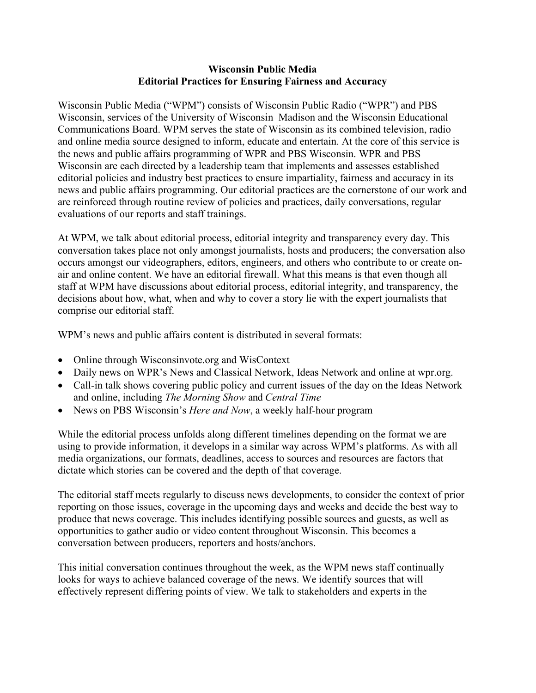## **Wisconsin Public Media Editorial Practices for Ensuring Fairness and Accuracy**

Wisconsin Public Media ("WPM") consists of Wisconsin Public Radio ("WPR") and PBS Wisconsin, services of the University of Wisconsin–Madison and the Wisconsin Educational Communications Board. WPM serves the state of Wisconsin as its combined television, radio and online media source designed to inform, educate and entertain. At the core of this service is the news and public affairs programming of WPR and PBS Wisconsin. WPR and PBS Wisconsin are each directed by a leadership team that implements and assesses established editorial policies and industry best practices to ensure impartiality, fairness and accuracy in its news and public affairs programming. Our editorial practices are the cornerstone of our work and are reinforced through routine review of policies and practices, daily conversations, regular evaluations of our reports and staff trainings.

At WPM, we talk about editorial process, editorial integrity and transparency every day. This conversation takes place not only amongst journalists, hosts and producers; the conversation also occurs amongst our videographers, editors, engineers, and others who contribute to or create onair and online content. We have an editorial firewall. What this means is that even though all staff at WPM have discussions about editorial process, editorial integrity, and transparency, the decisions about how, what, when and why to cover a story lie with the expert journalists that comprise our editorial staff.

WPM's news and public affairs content is distributed in several formats:

- Online through Wisconsinvote.org and WisContext
- Daily news on WPR's News and Classical Network, Ideas Network and online at wpr.org.
- Call-in talk shows covering public policy and current issues of the day on the Ideas Network and online, including *The Morning Show* and *Central Time*
- News on PBS Wisconsin's *Here and Now*, a weekly half-hour program

While the editorial process unfolds along different timelines depending on the format we are using to provide information, it develops in a similar way across WPM's platforms. As with all media organizations, our formats, deadlines, access to sources and resources are factors that dictate which stories can be covered and the depth of that coverage.

The editorial staff meets regularly to discuss news developments, to consider the context of prior reporting on those issues, coverage in the upcoming days and weeks and decide the best way to produce that news coverage. This includes identifying possible sources and guests, as well as opportunities to gather audio or video content throughout Wisconsin. This becomes a conversation between producers, reporters and hosts/anchors.

This initial conversation continues throughout the week, as the WPM news staff continually looks for ways to achieve balanced coverage of the news. We identify sources that will effectively represent differing points of view. We talk to stakeholders and experts in the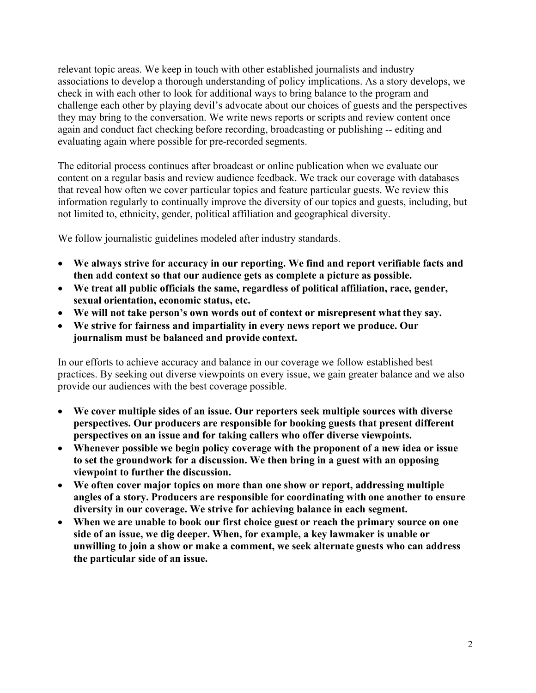relevant topic areas. We keep in touch with other established journalists and industry associations to develop a thorough understanding of policy implications. As a story develops, we check in with each other to look for additional ways to bring balance to the program and challenge each other by playing devil's advocate about our choices of guests and the perspectives they may bring to the conversation. We write news reports or scripts and review content once again and conduct fact checking before recording, broadcasting or publishing -- editing and evaluating again where possible for pre-recorded segments.

The editorial process continues after broadcast or online publication when we evaluate our content on a regular basis and review audience feedback. We track our coverage with databases that reveal how often we cover particular topics and feature particular guests. We review this information regularly to continually improve the diversity of our topics and guests, including, but not limited to, ethnicity, gender, political affiliation and geographical diversity.

We follow journalistic guidelines modeled after industry standards.

- **We always strive for accuracy in our reporting. We find and report verifiable facts and then add context so that our audience gets as complete a picture as possible.**
- **We treat all public officials the same, regardless of political affiliation, race, gender, sexual orientation, economic status, etc.**
- **We will not take person's own words out of context or misrepresent what they say.**
- **We strive for fairness and impartiality in every news report we produce. Our journalism must be balanced and provide context.**

In our efforts to achieve accuracy and balance in our coverage we follow established best practices. By seeking out diverse viewpoints on every issue, we gain greater balance and we also provide our audiences with the best coverage possible.

- **We cover multiple sides of an issue. Our reporters seek multiple sources with diverse perspectives. Our producers are responsible for booking guests that present different perspectives on an issue and for taking callers who offer diverse viewpoints.**
- **Whenever possible we begin policy coverage with the proponent of a new idea or issue to set the groundwork for a discussion. We then bring in a guest with an opposing viewpoint to further the discussion.**
- **We often cover major topics on more than one show or report, addressing multiple angles of a story. Producers are responsible for coordinating with one another to ensure diversity in our coverage. We strive for achieving balance in each segment.**
- **When we are unable to book our first choice guest or reach the primary source on one side of an issue, we dig deeper. When, for example, a key lawmaker is unable or unwilling to join a show or make a comment, we seek alternate guests who can address the particular side of an issue.**